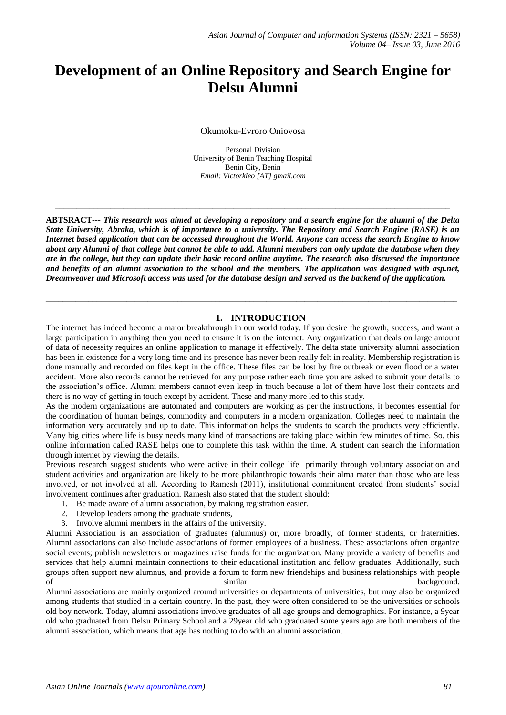# **Development of an Online Repository and Search Engine for Delsu Alumni**

Okumoku-Evroro Oniovosa

Personal Division University of Benin Teaching Hospital Benin City, Benin *Email: Victorkleo [AT] gmail.com*

 $\_$  ,  $\_$  ,  $\_$  ,  $\_$  ,  $\_$  ,  $\_$  ,  $\_$  ,  $\_$  ,  $\_$  ,  $\_$  ,  $\_$  ,  $\_$  ,  $\_$  ,  $\_$  ,  $\_$  ,  $\_$  ,  $\_$  ,  $\_$  ,  $\_$  ,  $\_$  ,  $\_$  ,  $\_$  ,  $\_$  ,  $\_$  ,  $\_$  ,  $\_$  ,  $\_$  ,  $\_$  ,  $\_$  ,  $\_$  ,  $\_$  ,  $\_$  ,  $\_$  ,  $\_$  ,  $\_$  ,  $\_$  ,  $\_$  ,

**ABTSRACT---** *This research was aimed at developing a repository and a search engine for the alumni of the Delta State University, Abraka, which is of importance to a university. The Repository and Search Engine (RASE) is an Internet based application that can be accessed throughout the World. Anyone can access the search Engine to know about any Alumni of that college but cannot be able to add. Alumni members can only update the database when they are in the college, but they can update their basic record online anytime. The research also discussed the importance and benefits of an alumni association to the school and the members. The application was designed with asp.net, Dreamweaver and Microsoft access was used for the database design and served as the backend of the application.*

**\_\_\_\_\_\_\_\_\_\_\_\_\_\_\_\_\_\_\_\_\_\_\_\_\_\_\_\_\_\_\_\_\_\_\_\_\_\_\_\_\_\_\_\_\_\_\_\_\_\_\_\_\_\_\_\_\_\_\_\_\_\_\_\_\_\_\_\_\_\_\_\_\_\_\_\_\_\_\_\_\_\_\_\_\_\_\_\_\_\_\_\_\_\_\_\_\_**

# **1. INTRODUCTION**

The internet has indeed become a major breakthrough in our world today. If you desire the growth, success, and want a large participation in anything then you need to ensure it is on the internet. Any organization that deals on large amount of data of necessity requires an online application to manage it effectively. The delta state university alumni association has been in existence for a very long time and its presence has never been really felt in reality. Membership registration is done manually and recorded on files kept in the office. These files can be lost by fire outbreak or even flood or a water accident. More also records cannot be retrieved for any purpose rather each time you are asked to submit your details to the association's office. Alumni members cannot even keep in touch because a lot of them have lost their contacts and there is no way of getting in touch except by accident. These and many more led to this study.

As the modern organizations are automated and computers are working as per the instructions, it becomes essential for the coordination of human beings, commodity and computers in a modern organization. Colleges need to maintain the information very accurately and up to date. This information helps the students to search the products very efficiently. Many big cities where life is busy needs many kind of transactions are taking place within few minutes of time. So, this online information called RASE helps one to complete this task within the time. A student can search the information through internet by viewing the details.

Previous research suggest students who were active in their college life primarily through voluntary association and student activities and organization are likely to be more philanthropic towards their alma mater than those who are less involved, or not involved at all. According to Ramesh (2011), institutional commitment created from students' social involvement continues after graduation. Ramesh also stated that the student should:

- 1. Be made aware of alumni association, by making registration easier.
- 2. Develop leaders among the graduate students,
- 3. Involve alumni members in the affairs of the university.

Alumni Association is an association of graduates (alumnus) or, more broadly, of former students, or fraternities. Alumni associations can also include associations of former employees of a business. These associations often organize social events; publish newsletters or magazines raise funds for the organization. Many provide a variety of benefits and services that help alumni maintain connections to their educational institution and fellow graduates. Additionally, such groups often support new alumnus, and provide a forum to form new friendships and business relationships with people of similar background.

Alumni associations are mainly organized around universities or departments of universities, but may also be organized among students that studied in a certain country. In the past, they were often considered to be the universities or schools old boy network. Today, alumni associations involve graduates of all age groups and demographics. For instance, a 9year old who graduated from Delsu Primary School and a 29year old who graduated some years ago are both members of the alumni association, which means that age has nothing to do with an alumni association.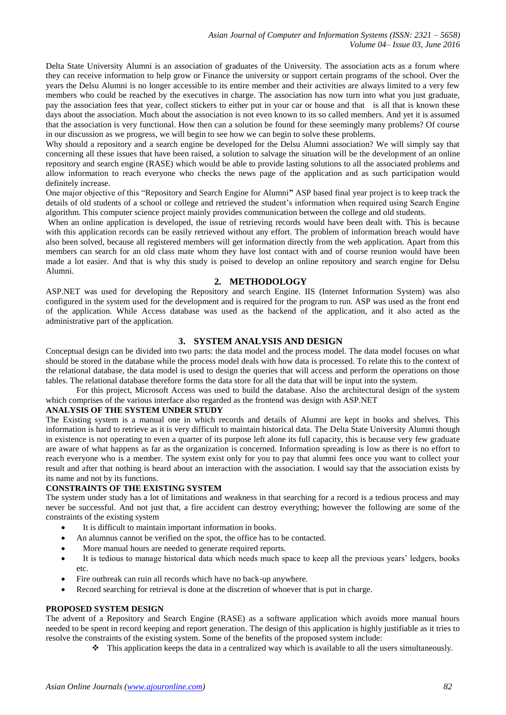Delta State University Alumni is an association of graduates of the University. The association acts as a forum where they can receive information to help grow or Finance the university or support certain programs of the school. Over the years the Delsu Alumni is no longer accessible to its entire member and their activities are always limited to a very few members who could be reached by the executives in charge. The association has now turn into what you just graduate, pay the association fees that year, collect stickers to either put in your car or house and that is all that is known these days about the association. Much about the association is not even known to its so called members. And yet it is assumed that the association is very functional. How then can a solution be found for these seemingly many problems? Of course in our discussion as we progress, we will begin to see how we can begin to solve these problems.

Why should a repository and a search engine be developed for the Delsu Alumni association? We will simply say that concerning all these issues that have been raised, a solution to salvage the situation will be the development of an online repository and search engine (RASE) which would be able to provide lasting solutions to all the associated problems and allow information to reach everyone who checks the news page of the application and as such participation would definitely increase.

One major objective of this "Repository and Search Engine for Alumni**"** ASP based final year project is to keep track the details of old students of a school or college and retrieved the student's information when required using Search Engine algorithm. This computer science project mainly provides communication between the college and old students.

When an online application is developed, the issue of retrieving records would have been dealt with. This is because with this application records can be easily retrieved without any effort. The problem of information breach would have also been solved, because all registered members will get information directly from the web application. Apart from this members can search for an old class mate whom they have lost contact with and of course reunion would have been made a lot easier. And that is why this study is poised to develop an online repository and search engine for Delsu Alumni.

## **2. METHODOLOGY**

ASP.NET was used for developing the Repository and search Engine. IIS (Internet Information System) was also configured in the system used for the development and is required for the program to run. ASP was used as the front end of the application. While Access database was used as the backend of the application, and it also acted as the administrative part of the application.

## **3. SYSTEM ANALYSIS AND DESIGN**

Conceptual design can be divided into two parts: the data model and the process model. The data model focuses on what should be stored in the database while the process model deals with how data is processed. To relate this to the context of the relational database, the data model is used to design the queries that will access and perform the operations on those tables. The relational database therefore forms the data store for all the data that will be input into the system.

For this project, Microsoft Access was used to build the database. Also the architectural design of the system which comprises of the various interface also regarded as the frontend was design with ASP.NET

#### **ANALYSIS OF THE SYSTEM UNDER STUDY**

The Existing system is a manual one in which records and details of Alumni are kept in books and shelves. This information is hard to retrieve as it is very difficult to maintain historical data. The Delta State University Alumni though in existence is not operating to even a quarter of its purpose left alone its full capacity, this is because very few graduate are aware of what happens as far as the organization is concerned. Information spreading is low as there is no effort to reach everyone who is a member. The system exist only for you to pay that alumni fees once you want to collect your result and after that nothing is heard about an interaction with the association. I would say that the association exists by its name and not by its functions.

# **CONSTRAINTS OF THE EXISTING SYSTEM**

The system under study has a lot of limitations and weakness in that searching for a record is a tedious process and may never be successful. And not just that, a fire accident can destroy everything; however the following are some of the constraints of the existing system

- It is difficult to maintain important information in books.
- An alumnus cannot be verified on the spot, the office has to be contacted.
- More manual hours are needed to generate required reports.
- It is tedious to manage historical data which needs much space to keep all the previous years' ledgers, books etc.
- Fire outbreak can ruin all records which have no back-up anywhere.
- Record searching for retrieval is done at the discretion of whoever that is put in charge.

#### **PROPOSED SYSTEM DESIGN**

The advent of a Repository and Search Engine (RASE) as a software application which avoids more manual hours needed to be spent in record keeping and report generation. The design of this application is highly justifiable as it tries to resolve the constraints of the existing system. Some of the benefits of the proposed system include:

 $\cdot \cdot$  This application keeps the data in a centralized way which is available to all the users simultaneously.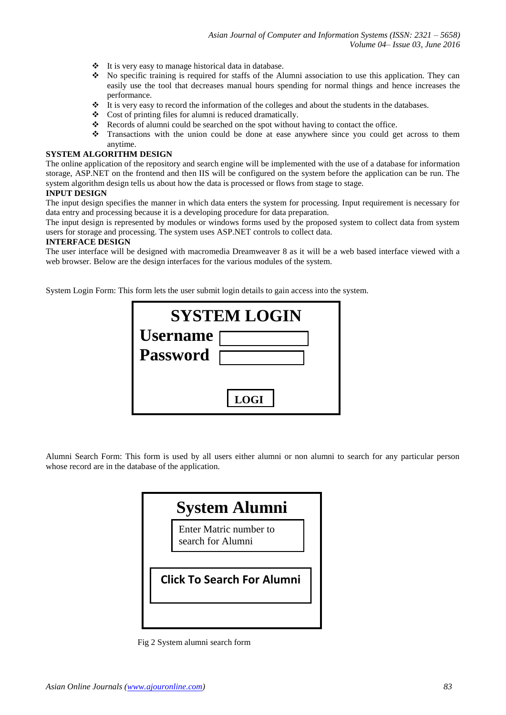- It is very easy to manage historical data in database.
- No specific training is required for staffs of the Alumni association to use this application. They can easily use the tool that decreases manual hours spending for normal things and hence increases the performance.
- $\div$  It is very easy to record the information of the colleges and about the students in the databases.
- $\bullet$  Cost of printing files for alumni is reduced dramatically.
- \* Records of alumni could be searched on the spot without having to contact the office.
- Transactions with the union could be done at ease anywhere since you could get across to them anytime.

#### **SYSTEM ALGORITHM DESIGN**

The online application of the repository and search engine will be implemented with the use of a database for information storage, ASP.NET on the frontend and then IIS will be configured on the system before the application can be run. The system algorithm design tells us about how the data is processed or flows from stage to stage.

## **INPUT DESIGN**

The input design specifies the manner in which data enters the system for processing. Input requirement is necessary for data entry and processing because it is a developing procedure for data preparation.

The input design is represented by modules or windows forms used by the proposed system to collect data from system users for storage and processing. The system uses ASP.NET controls to collect data.

#### **INTERFACE DESIGN**

The user interface will be designed with macromedia Dreamweaver 8 as it will be a web based interface viewed with a web browser. Below are the design interfaces for the various modules of the system.

System Login Form: This form lets the user submit login details to gain access into the system.

| <b>SYSTEM LOGIN</b> |             |  |  |  |
|---------------------|-------------|--|--|--|
| <b>Username</b>     |             |  |  |  |
| <b>Password</b>     |             |  |  |  |
|                     |             |  |  |  |
|                     | <b>LOGI</b> |  |  |  |

Alumni Search Form: This form is used by all users either alumni or non alumni to search for any particular person whose record are in the database of the application.



Fig 2 System alumni search form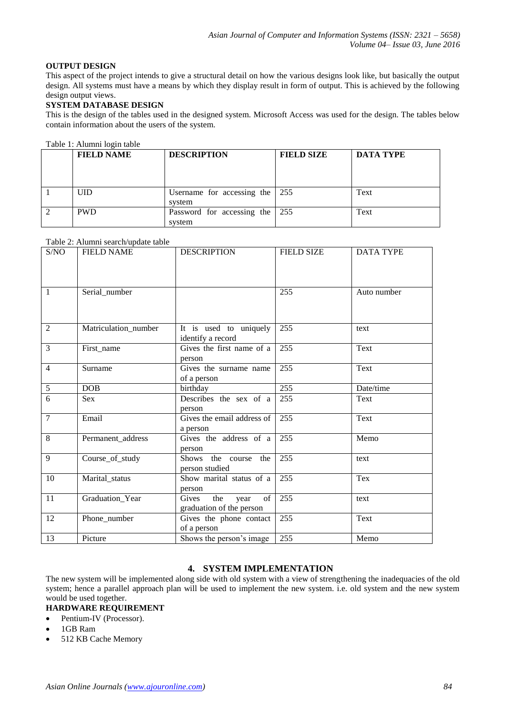# **OUTPUT DESIGN**

This aspect of the project intends to give a structural detail on how the various designs look like, but basically the output design. All systems must have a means by which they display result in form of output. This is achieved by the following design output views.

## **SYSTEM DATABASE DESIGN**

This is the design of the tables used in the designed system. Microsoft Access was used for the design. The tables below contain information about the users of the system.

#### Table 1: Alumni login table

| <b>FIELD NAME</b> | <b>DESCRIPTION</b>                   | <b>FIELD SIZE</b> | <b>DATA TYPE</b> |
|-------------------|--------------------------------------|-------------------|------------------|
| <b>UID</b>        | Username for accessing the<br>system | 255               | Text             |
| <b>PWD</b>        | Password for accessing the<br>system | 255               | Text             |

## Table 2: Alumni search/update table

| S/NO           | r abic 2. Andrhim scarch update table<br><b>FIELD NAME</b> | <b>DESCRIPTION</b>                             | <b>FIELD SIZE</b> | <b>DATA TYPE</b> |
|----------------|------------------------------------------------------------|------------------------------------------------|-------------------|------------------|
|                |                                                            |                                                |                   |                  |
|                |                                                            |                                                |                   |                  |
|                |                                                            |                                                |                   |                  |
| $\mathbf{1}$   | Serial_number                                              |                                                | 255               | Auto number      |
|                |                                                            |                                                |                   |                  |
|                |                                                            |                                                |                   |                  |
| $\overline{2}$ | Matriculation_number                                       | It is used to uniquely                         | 255               | text             |
| 3              | First name                                                 | identify a record<br>Gives the first name of a | 255               | Text             |
|                |                                                            | person                                         |                   |                  |
| $\overline{4}$ | Surname                                                    | Gives the surname name                         | 255               | Text             |
|                |                                                            | of a person                                    |                   |                  |
| $\sqrt{5}$     | DOB                                                        | birthday                                       | 255               | Date/time        |
| $\overline{6}$ | <b>Sex</b>                                                 | Describes the sex of a                         | 255               | Text             |
|                |                                                            | person                                         |                   |                  |
| $\overline{7}$ | Email                                                      | Gives the email address of                     | 255               | Text             |
|                |                                                            | a person                                       |                   |                  |
| 8              | Permanent address                                          | Gives the address of a                         | 255               | Memo             |
|                |                                                            | person                                         |                   |                  |
| 9              | Course_of_study                                            | Shows the course the                           | 255               | text             |
|                |                                                            | person studied                                 |                   |                  |
| 10             | Marital_status                                             | Show marital status of a                       | 255               | Tex              |
|                |                                                            | person                                         |                   |                  |
| 11             | Graduation_Year                                            | the<br>Gives<br>of 1<br>year                   | 255               | text             |
|                |                                                            | graduation of the person                       |                   |                  |
| 12             | Phone_number                                               | Gives the phone contact                        | 255               | Text             |
|                |                                                            | of a person                                    |                   |                  |
| 13             | Picture                                                    | Shows the person's image                       | 255               | Memo             |

# **4. SYSTEM IMPLEMENTATION**

The new system will be implemented along side with old system with a view of strengthening the inadequacies of the old system; hence a parallel approach plan will be used to implement the new system. i.e. old system and the new system would be used together.

# **HARDWARE REQUIREMENT**

- Pentium-IV (Processor).
- 1GB Ram
- 512 KB Cache Memory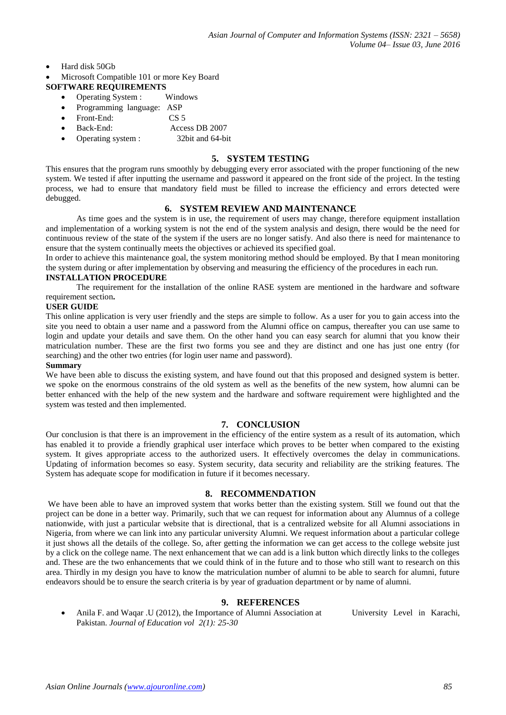- Hard disk 50Gb
- Microsoft Compatible 101 or more Key Board

#### **SOFTWARE REQUIREMENTS**

- Operating System : Windows
- Programming language: ASP
- Front-End: CS 5
- Back-End: Access DB 2007
- Operating system : 32bit and 64-bit

#### **5. SYSTEM TESTING**

This ensures that the program runs smoothly by debugging every error associated with the proper functioning of the new system. We tested if after inputting the username and password it appeared on the front side of the project. In the testing process, we had to ensure that mandatory field must be filled to increase the efficiency and errors detected were debugged.

## **6. SYSTEM REVIEW AND MAINTENANCE**

As time goes and the system is in use, the requirement of users may change, therefore equipment installation and implementation of a working system is not the end of the system analysis and design, there would be the need for continuous review of the state of the system if the users are no longer satisfy. And also there is need for maintenance to ensure that the system continually meets the objectives or achieved its specified goal.

In order to achieve this maintenance goal, the system monitoring method should be employed. By that I mean monitoring the system during or after implementation by observing and measuring the efficiency of the procedures in each run.

#### **INSTALLATION PROCEDURE**

The requirement for the installation of the online RASE system are mentioned in the hardware and software requirement section**.**

#### **USER GUIDE**

This online application is very user friendly and the steps are simple to follow. As a user for you to gain access into the site you need to obtain a user name and a password from the Alumni office on campus, thereafter you can use same to login and update your details and save them. On the other hand you can easy search for alumni that you know their matriculation number. These are the first two forms you see and they are distinct and one has just one entry (for searching) and the other two entries (for login user name and password).

#### **Summary**

We have been able to discuss the existing system, and have found out that this proposed and designed system is better. we spoke on the enormous constrains of the old system as well as the benefits of the new system, how alumni can be better enhanced with the help of the new system and the hardware and software requirement were highlighted and the system was tested and then implemented.

## **7. CONCLUSION**

Our conclusion is that there is an improvement in the efficiency of the entire system as a result of its automation, which has enabled it to provide a friendly graphical user interface which proves to be better when compared to the existing system. It gives appropriate access to the authorized users. It effectively overcomes the delay in communications. Updating of information becomes so easy. System security, data security and reliability are the striking features. The System has adequate scope for modification in future if it becomes necessary.

#### **8. RECOMMENDATION**

We have been able to have an improved system that works better than the existing system. Still we found out that the project can be done in a better way. Primarily, such that we can request for information about any Alumnus of a college nationwide, with just a particular website that is directional, that is a centralized website for all Alumni associations in Nigeria, from where we can link into any particular university Alumni. We request information about a particular college it just shows all the details of the college. So, after getting the information we can get access to the college website just by a click on the college name. The next enhancement that we can add is a link button which directly links to the colleges and. These are the two enhancements that we could think of in the future and to those who still want to research on this area. Thirdly in my design you have to know the matriculation number of alumni to be able to search for alumni, future endeavors should be to ensure the search criteria is by year of graduation department or by name of alumni.

# **9. REFERENCES**

 Anila F. and Waqar .U (2012), the Importance of Alumni Association at University Level in Karachi, Pakistan. *Journal of Education vol 2(1): 25-30*